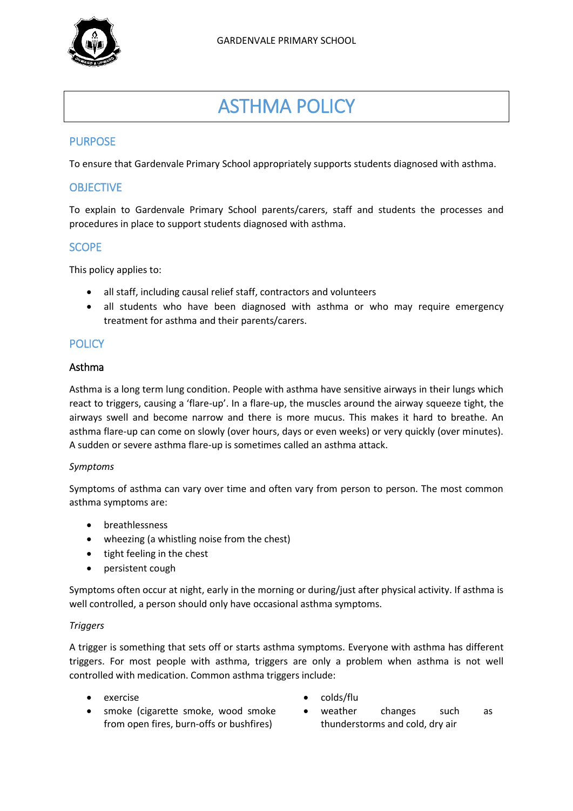

# ASTHMA POLICY

# PURPOSE

To ensure that Gardenvale Primary School appropriately supports students diagnosed with asthma.

## **OBJECTIVE**

To explain to Gardenvale Primary School parents/carers, staff and students the processes and procedures in place to support students diagnosed with asthma.

## **SCOPE**

This policy applies to:

- all staff, including causal relief staff, contractors and volunteers
- all students who have been diagnosed with asthma or who may require emergency treatment for asthma and their parents/carers.

## **POLICY**

#### Asthma

Asthma is a long term lung condition. People with asthma have sensitive airways in their lungs which react to triggers, causing a 'flare-up'. In a flare-up, the muscles around the airway squeeze tight, the airways swell and become narrow and there is more mucus. This makes it hard to breathe. An asthma flare-up can come on slowly (over hours, days or even weeks) or very quickly (over minutes). A sudden or severe asthma flare-up is sometimes called an asthma attack.

#### *Symptoms*

Symptoms of asthma can vary over time and often vary from person to person. The most common asthma symptoms are:

- breathlessness
- wheezing (a whistling noise from the chest)
- tight feeling in the chest
- persistent cough

Symptoms often occur at night, early in the morning or during/just after physical activity. If asthma is well controlled, a person should only have occasional asthma symptoms.

#### *Triggers*

A trigger is something that sets off or starts asthma symptoms. Everyone with asthma has different triggers. For most people with asthma, triggers are only a problem when asthma is not well controlled with medication. Common asthma triggers include:

- 
- smoke (cigarette smoke, wood smoke from open fires, burn-offs or bushfires)
- exercise exercise exercise
	- weather changes such as thunderstorms and cold, dry air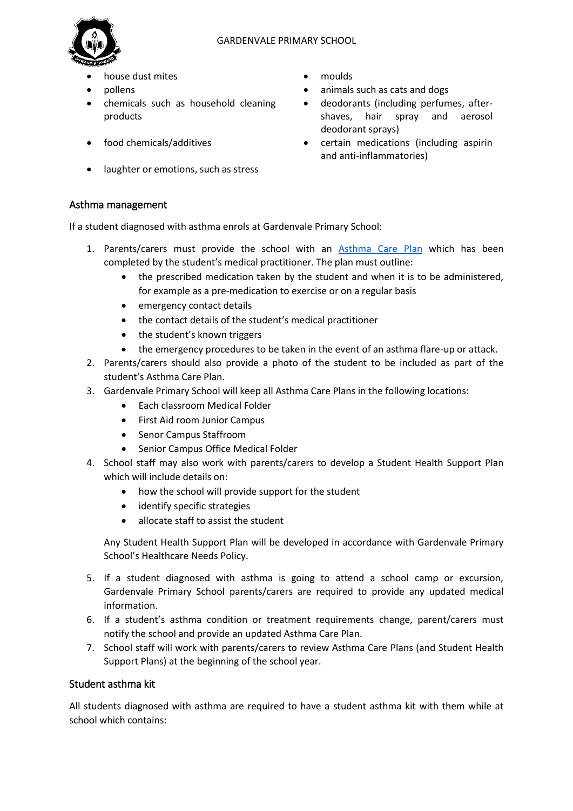

- house dust mites **moulds**
- 
- chemicals such as household cleaning products
- 
- laughter or emotions, such as stress

#### Asthma management

If a student diagnosed with asthma enrols at Gardenvale Primary School:

- 1. Parents/carers must provide the school with an [Asthma Care](http://www.education.vic.gov.au/school/principals/spag/health/Documents/AsthmaCarePlan.pdf) Plan which has been completed by the student's medical practitioner. The plan must outline:
	- the prescribed medication taken by the student and when it is to be administered, for example as a pre-medication to exercise or on a regular basis
	- emergency contact details
	- the contact details of the student's medical practitioner
	- the student's known triggers
	- the emergency procedures to be taken in the event of an asthma flare-up or attack.
- 2. Parents/carers should also provide a photo of the student to be included as part of the student's Asthma Care Plan.
- 3. Gardenvale Primary School will keep all Asthma Care Plans in the following locations:
	- Each classroom Medical Folder
	- First Aid room Junior Campus
	- Senor Campus Staffroom
	- Senior Campus Office Medical Folder
- 4. School staff may also work with parents/carers to develop a Student Health Support Plan which will include details on:
	- how the school will provide support for the student
	- identify specific strategies
	- allocate staff to assist the student

Any Student Health Support Plan will be developed in accordance with Gardenvale Primary School's Healthcare Needs Policy.

- 5. If a student diagnosed with asthma is going to attend a school camp or excursion, Gardenvale Primary School parents/carers are required to provide any updated medical information.
- 6. If a student's asthma condition or treatment requirements change, parent/carers must notify the school and provide an updated Asthma Care Plan.
- 7. School staff will work with parents/carers to review Asthma Care Plans (and Student Health Support Plans) at the beginning of the school year.

## Student asthma kit

All students diagnosed with asthma are required to have a student asthma kit with them while at school which contains:

- 
- pollens **blues animals** such as cats and dogs
	- deodorants (including perfumes, aftershaves, hair spray and aerosol deodorant sprays)
- food chemicals/additives certain medications (including aspirin and anti-inflammatories)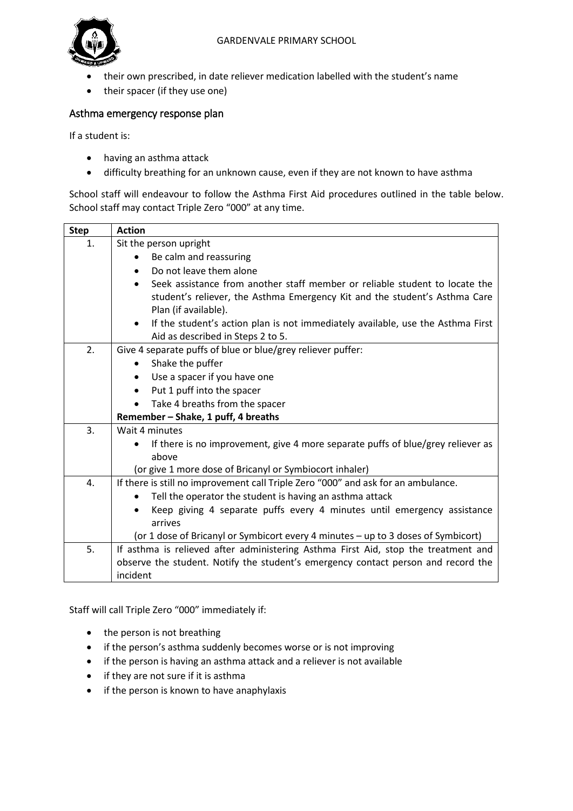#### GARDENVALE PRIMARY SCHOOL



- their own prescribed, in date reliever medication labelled with the student's name
- their spacer (if they use one)

#### Asthma emergency response plan

If a student is:

- having an asthma attack
- difficulty breathing for an unknown cause, even if they are not known to have asthma

School staff will endeavour to follow the Asthma First Aid procedures outlined in the table below. School staff may contact Triple Zero "000" at any time.

| <b>Step</b> | <b>Action</b>                                                                                |  |  |  |  |
|-------------|----------------------------------------------------------------------------------------------|--|--|--|--|
| 1.          | Sit the person upright                                                                       |  |  |  |  |
|             | Be calm and reassuring                                                                       |  |  |  |  |
|             | Do not leave them alone<br>$\bullet$                                                         |  |  |  |  |
|             | Seek assistance from another staff member or reliable student to locate the                  |  |  |  |  |
|             | student's reliever, the Asthma Emergency Kit and the student's Asthma Care                   |  |  |  |  |
|             | Plan (if available).                                                                         |  |  |  |  |
|             | If the student's action plan is not immediately available, use the Asthma First<br>$\bullet$ |  |  |  |  |
|             | Aid as described in Steps 2 to 5.                                                            |  |  |  |  |
| 2.          | Give 4 separate puffs of blue or blue/grey reliever puffer:                                  |  |  |  |  |
|             | Shake the puffer<br>$\bullet$                                                                |  |  |  |  |
|             | Use a spacer if you have one<br>$\bullet$                                                    |  |  |  |  |
|             | Put 1 puff into the spacer<br>$\bullet$                                                      |  |  |  |  |
|             | Take 4 breaths from the spacer<br>$\bullet$                                                  |  |  |  |  |
|             | Remember - Shake, 1 puff, 4 breaths                                                          |  |  |  |  |
| 3.          | Wait 4 minutes                                                                               |  |  |  |  |
|             | If there is no improvement, give 4 more separate puffs of blue/grey reliever as<br>$\bullet$ |  |  |  |  |
|             | above                                                                                        |  |  |  |  |
|             | (or give 1 more dose of Bricanyl or Symbiocort inhaler)                                      |  |  |  |  |
| 4.          | If there is still no improvement call Triple Zero "000" and ask for an ambulance.            |  |  |  |  |
|             | Tell the operator the student is having an asthma attack                                     |  |  |  |  |
|             | Keep giving 4 separate puffs every 4 minutes until emergency assistance                      |  |  |  |  |
|             | arrives                                                                                      |  |  |  |  |
|             | (or 1 dose of Bricanyl or Symbicort every 4 minutes - up to 3 doses of Symbicort)            |  |  |  |  |
| 5.          | If asthma is relieved after administering Asthma First Aid, stop the treatment and           |  |  |  |  |
|             | observe the student. Notify the student's emergency contact person and record the            |  |  |  |  |
|             | incident                                                                                     |  |  |  |  |

Staff will call Triple Zero "000" immediately if:

- the person is not breathing
- if the person's asthma suddenly becomes worse or is not improving
- if the person is having an asthma attack and a reliever is not available
- if they are not sure if it is asthma
- if the person is known to have anaphylaxis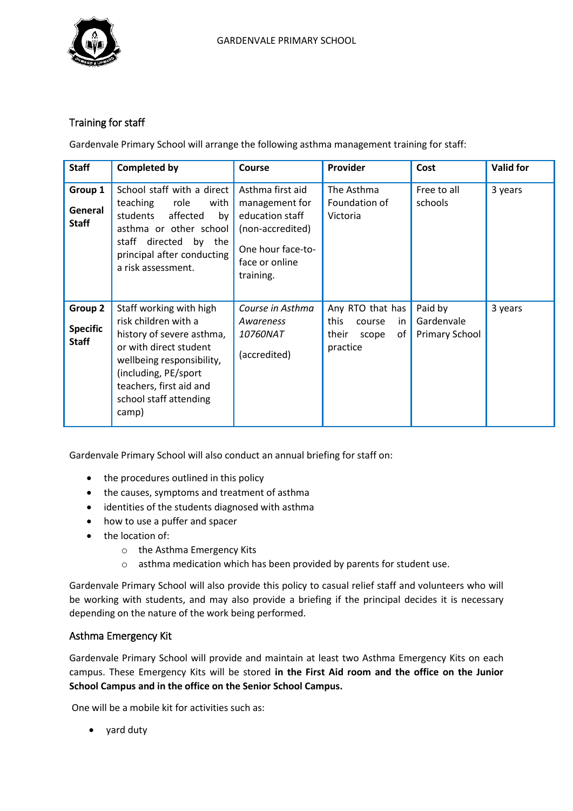

# Training for staff

Gardenvale Primary School will arrange the following asthma management training for staff:

| <b>Staff</b>                               | <b>Completed by</b>                                                                                                                                                                                                        | Course                                                                                                                        | <b>Provider</b>                                                                 | Cost                                           | <b>Valid for</b> |
|--------------------------------------------|----------------------------------------------------------------------------------------------------------------------------------------------------------------------------------------------------------------------------|-------------------------------------------------------------------------------------------------------------------------------|---------------------------------------------------------------------------------|------------------------------------------------|------------------|
| Group 1<br>General<br><b>Staff</b>         | School staff with a direct<br>teaching<br>role<br>with<br>students<br>affected<br>by<br>asthma or other school<br>directed<br>staff<br>by the<br>principal after conducting<br>a risk assessment.                          | Asthma first aid<br>management for<br>education staff<br>(non-accredited)<br>One hour face-to-<br>face or online<br>training. | The Asthma<br>Foundation of<br>Victoria                                         | Free to all<br>schools                         | 3 years          |
| Group 2<br><b>Specific</b><br><b>Staff</b> | Staff working with high<br>risk children with a<br>history of severe asthma,<br>or with direct student<br>wellbeing responsibility,<br>(including, PE/sport)<br>teachers, first aid and<br>school staff attending<br>camp) | Course in Asthma<br>Awareness<br><i>10760NAT</i><br>(accredited)                                                              | Any RTO that has<br>this<br>course<br>in.<br>of  <br>their<br>scope<br>practice | Paid by<br>Gardenvale<br><b>Primary School</b> | 3 years          |

Gardenvale Primary School will also conduct an annual briefing for staff on:

- the procedures outlined in this policy
- the causes, symptoms and treatment of asthma
- identities of the students diagnosed with asthma
- how to use a puffer and spacer
- the location of:
	- o the Asthma Emergency Kits
	- o asthma medication which has been provided by parents for student use.

Gardenvale Primary School will also provide this policy to casual relief staff and volunteers who will be working with students, and may also provide a briefing if the principal decides it is necessary depending on the nature of the work being performed.

## Asthma Emergency Kit

Gardenvale Primary School will provide and maintain at least two Asthma Emergency Kits on each campus. These Emergency Kits will be stored **in the First Aid room and the office on the Junior School Campus and in the office on the Senior School Campus.**

One will be a mobile kit for activities such as:

yard duty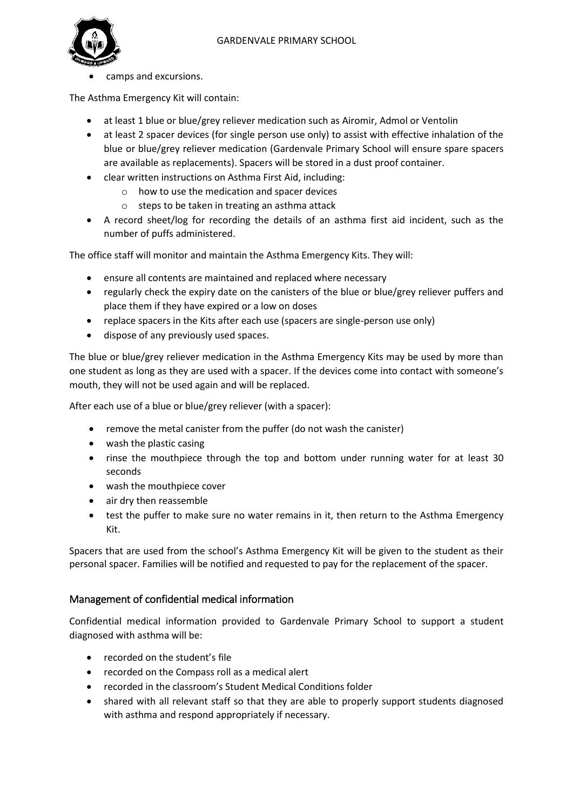

camps and excursions.

The Asthma Emergency Kit will contain:

- at least 1 blue or blue/grey reliever medication such as Airomir, Admol or Ventolin
- at least 2 spacer devices (for single person use only) to assist with effective inhalation of the blue or blue/grey reliever medication (Gardenvale Primary School will ensure spare spacers are available as replacements). Spacers will be stored in a dust proof container.
- clear written instructions on Asthma First Aid, including:
	- $\circ$  how to use the medication and spacer devices
	- o steps to be taken in treating an asthma attack
- A record sheet/log for recording the details of an asthma first aid incident, such as the number of puffs administered.

The office staff will monitor and maintain the Asthma Emergency Kits. They will:

- ensure all contents are maintained and replaced where necessary
- regularly check the expiry date on the canisters of the blue or blue/grey reliever puffers and place them if they have expired or a low on doses
- replace spacers in the Kits after each use (spacers are single-person use only)
- dispose of any previously used spaces.

The blue or blue/grey reliever medication in the Asthma Emergency Kits may be used by more than one student as long as they are used with a spacer. If the devices come into contact with someone's mouth, they will not be used again and will be replaced.

After each use of a blue or blue/grey reliever (with a spacer):

- remove the metal canister from the puffer (do not wash the canister)
- wash the plastic casing
- rinse the mouthpiece through the top and bottom under running water for at least 30 seconds
- wash the mouthpiece cover
- air dry then reassemble
- test the puffer to make sure no water remains in it, then return to the Asthma Emergency Kit.

Spacers that are used from the school's Asthma Emergency Kit will be given to the student as their personal spacer. Families will be notified and requested to pay for the replacement of the spacer.

#### Management of confidential medical information

Confidential medical information provided to Gardenvale Primary School to support a student diagnosed with asthma will be:

- recorded on the student's file
- recorded on the Compass roll as a medical alert
- recorded in the classroom's Student Medical Conditions folder
- shared with all relevant staff so that they are able to properly support students diagnosed with asthma and respond appropriately if necessary.